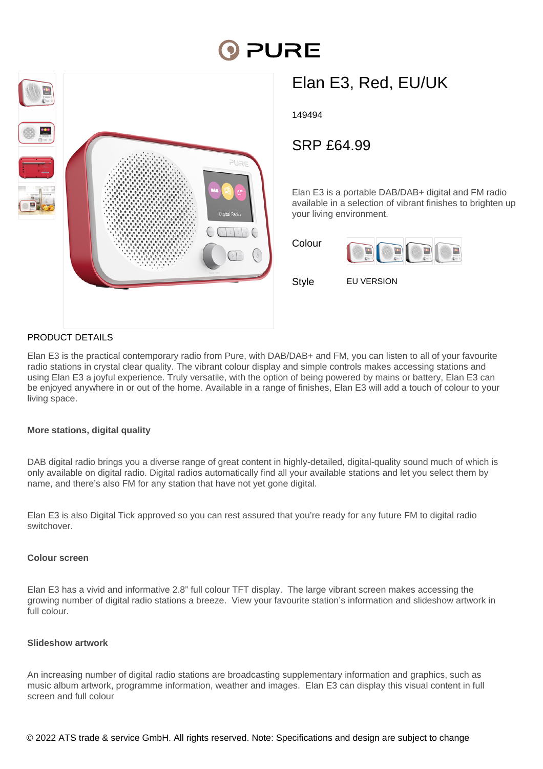# PURE



## Elan E3, Red, EU/UK

149494

### SRP £64.99

Elan E3 is a portable DAB/DAB+ digital and FM radio available in a selection of vibrant finishes to brighten up your living environment.

| Colour |  |  |
|--------|--|--|
|        |  |  |

Style **EU VERSION** 

#### PRODUCT DETAILS

Elan E3 is the practical contemporary radio from Pure, with DAB/DAB+ and FM, you can listen to all of your favourite radio stations in crystal clear quality. The vibrant colour display and simple controls makes accessing stations and using Elan E3 a joyful experience. Truly versatile, with the option of being powered by mains or battery, Elan E3 can be enjoyed anywhere in or out of the home. Available in a range of finishes, Elan E3 will add a touch of colour to your living space.

#### **More stations, digital quality**

DAB digital radio brings you a diverse range of great content in highly-detailed, digital-quality sound much of which is only available on digital radio. Digital radios automatically find all your available stations and let you select them by name, and there's also FM for any station that have not yet gone digital.

Elan E3 is also Digital Tick approved so you can rest assured that you're ready for any future FM to digital radio switchover.

#### **Colour screen**

Elan E3 has a vivid and informative 2.8" full colour TFT display. The large vibrant screen makes accessing the growing number of digital radio stations a breeze. View your favourite station's information and slideshow artwork in full colour.

#### **Slideshow artwork**

An increasing number of digital radio stations are broadcasting supplementary information and graphics, such as music album artwork, programme information, weather and images. Elan E3 can display this visual content in full screen and full colour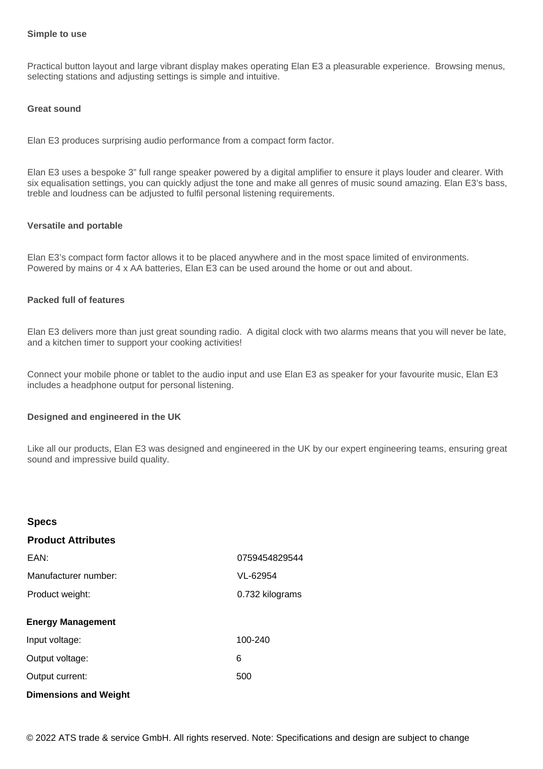#### **Simple to use**

Practical button layout and large vibrant display makes operating Elan E3 a pleasurable experience. Browsing menus, selecting stations and adjusting settings is simple and intuitive.

#### **Great sound**

Elan E3 produces surprising audio performance from a compact form factor.

Elan E3 uses a bespoke 3" full range speaker powered by a digital amplifier to ensure it plays louder and clearer. With six equalisation settings, you can quickly adjust the tone and make all genres of music sound amazing. Elan E3's bass, treble and loudness can be adjusted to fulfil personal listening requirements.

#### **Versatile and portable**

Elan E3's compact form factor allows it to be placed anywhere and in the most space limited of environments. Powered by mains or 4 x AA batteries, Elan E3 can be used around the home or out and about.

#### **Packed full of features**

**Specs**

Elan E3 delivers more than just great sounding radio. A digital clock with two alarms means that you will never be late, and a kitchen timer to support your cooking activities!

Connect your mobile phone or tablet to the audio input and use Elan E3 as speaker for your favourite music, Elan E3 includes a headphone output for personal listening.

#### **Designed and engineered in the UK**

Like all our products, Elan E3 was designed and engineered in the UK by our expert engineering teams, ensuring great sound and impressive build quality.

| opecs                        |                 |
|------------------------------|-----------------|
| <b>Product Attributes</b>    |                 |
| EAN:                         | 0759454829544   |
| Manufacturer number:         | VL-62954        |
| Product weight:              | 0.732 kilograms |
| <b>Energy Management</b>     |                 |
| Input voltage:               | 100-240         |
| Output voltage:              | 6               |
| Output current:              | 500             |
| <b>Dimensions and Weight</b> |                 |